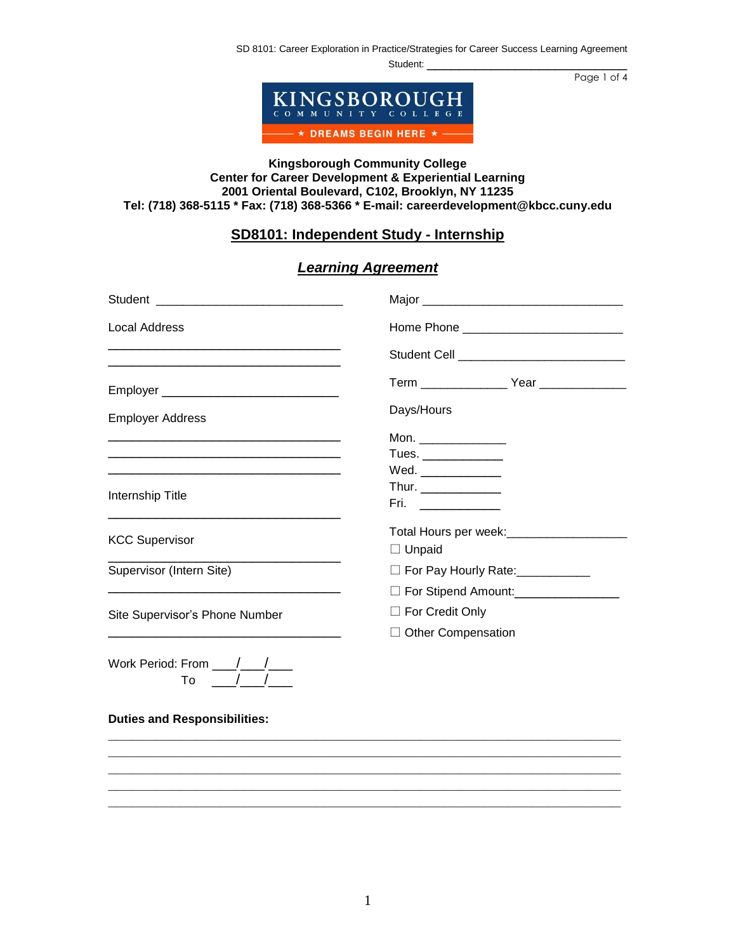SD 8101: Career Exploration in Practice/Strategies for Career Success Learning Agreement

Student:

Page 1 of 4



## **Kingsborough Community College Center for Career Development & Experiential Learning 2001 Oriental Boulevard, C102, Brooklyn, NY 11235 Tel: (718) 368-5115 \* Fax: (718) 368-5366 \* E-mail: careerdevelopment@kbcc.cuny.edu**

# **SD8101: Independent Study - Internship**

# *Learning Agreement*

| <b>Local Address</b>                                                                                                  |                                                        |
|-----------------------------------------------------------------------------------------------------------------------|--------------------------------------------------------|
| <u> 1989 - Johann Stoff, deutscher Stoff, der Stoff, der Stoff, der Stoff, der Stoff, der Stoff, der Stoff, der S</u> | Student Cell ________________________________          |
|                                                                                                                       | Term _________________ Year _______________            |
| <b>Employer Address</b>                                                                                               | Days/Hours                                             |
|                                                                                                                       | Mon. $\qquad \qquad$                                   |
|                                                                                                                       | Tues. $\frac{1}{\sqrt{1-\frac{1}{2}}\cdot\frac{1}{2}}$ |
| <u> 1989 - Andrea Stadt Britain, amerikansk politik (* 1908)</u>                                                      | Wed.                                                   |
|                                                                                                                       |                                                        |
| Internship Title                                                                                                      | $Fri.$ _____________                                   |
| <b>KCC Supervisor</b>                                                                                                 | Total Hours per week:________________________          |
|                                                                                                                       | $\Box$ Unpaid                                          |
| Supervisor (Intern Site)                                                                                              | □ For Pay Hourly Rate: ___________                     |
|                                                                                                                       | □ For Stipend Amount:________________                  |
| Site Supervisor's Phone Number                                                                                        | $\Box$ For Credit Only                                 |
|                                                                                                                       | $\Box$ Other Compensation                              |
| Work Period: From / /<br>To                                                                                           |                                                        |

#### **Duties and Responsibilities:**

**\_\_\_\_\_\_\_\_\_\_\_\_\_\_\_\_\_\_\_\_\_\_\_\_\_\_\_\_\_\_\_\_\_\_\_\_\_\_\_\_\_\_\_\_\_\_\_\_\_\_\_\_\_\_\_\_\_\_\_\_\_\_\_\_ \_\_\_\_\_\_\_\_\_\_\_\_\_\_\_\_\_\_\_\_\_\_\_\_\_\_\_\_\_\_\_\_\_\_\_\_\_\_\_\_\_\_\_\_\_\_\_\_\_\_\_\_\_\_\_\_\_\_\_\_\_\_\_\_ \_\_\_\_\_\_\_\_\_\_\_\_\_\_\_\_\_\_\_\_\_\_\_\_\_\_\_\_\_\_\_\_\_\_\_\_\_\_\_\_\_\_\_\_\_\_\_\_\_\_\_\_\_\_\_\_\_\_\_\_\_\_\_\_ \_\_\_\_\_\_\_\_\_\_\_\_\_\_\_\_\_\_\_\_\_\_\_\_\_\_\_\_\_\_\_\_\_\_\_\_\_\_\_\_\_\_\_\_\_\_\_\_\_\_\_\_\_\_\_\_\_\_\_\_\_\_\_\_ \_\_\_\_\_\_\_\_\_\_\_\_\_\_\_\_\_\_\_\_\_\_\_\_\_\_\_\_\_\_\_\_\_\_\_\_\_\_\_\_\_\_\_\_\_\_\_\_\_\_\_\_\_\_\_\_\_\_\_\_\_\_\_\_**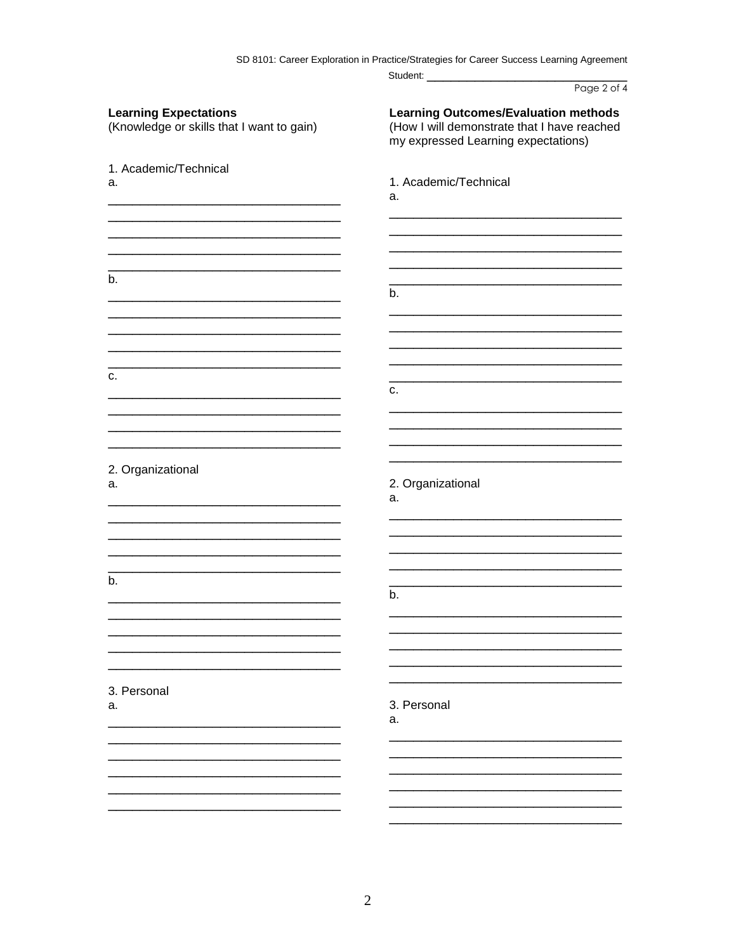SD 8101: Career Exploration in Practice/Strategies for Career Success Learning Agreement

|                                                                           | Page 2 of 4                                                                                                                       |
|---------------------------------------------------------------------------|-----------------------------------------------------------------------------------------------------------------------------------|
| <b>Learning Expectations</b><br>(Knowledge or skills that I want to gain) | <b>Learning Outcomes/Evaluation methods</b><br>(How I will demonstrate that I have reached<br>my expressed Learning expectations) |
| 1. Academic/Technical                                                     |                                                                                                                                   |
| a.                                                                        | 1. Academic/Technical<br>a.                                                                                                       |
|                                                                           |                                                                                                                                   |
| b.                                                                        | b.                                                                                                                                |
|                                                                           |                                                                                                                                   |
| c.                                                                        |                                                                                                                                   |
|                                                                           | C.                                                                                                                                |
|                                                                           |                                                                                                                                   |
| 2. Organizational<br>a.                                                   | 2. Organizational<br>a.                                                                                                           |
|                                                                           |                                                                                                                                   |
| b.                                                                        | b.                                                                                                                                |
|                                                                           |                                                                                                                                   |
|                                                                           |                                                                                                                                   |
| 3. Personal<br>a.                                                         | 3. Personal<br>a.                                                                                                                 |
|                                                                           |                                                                                                                                   |
|                                                                           |                                                                                                                                   |
|                                                                           |                                                                                                                                   |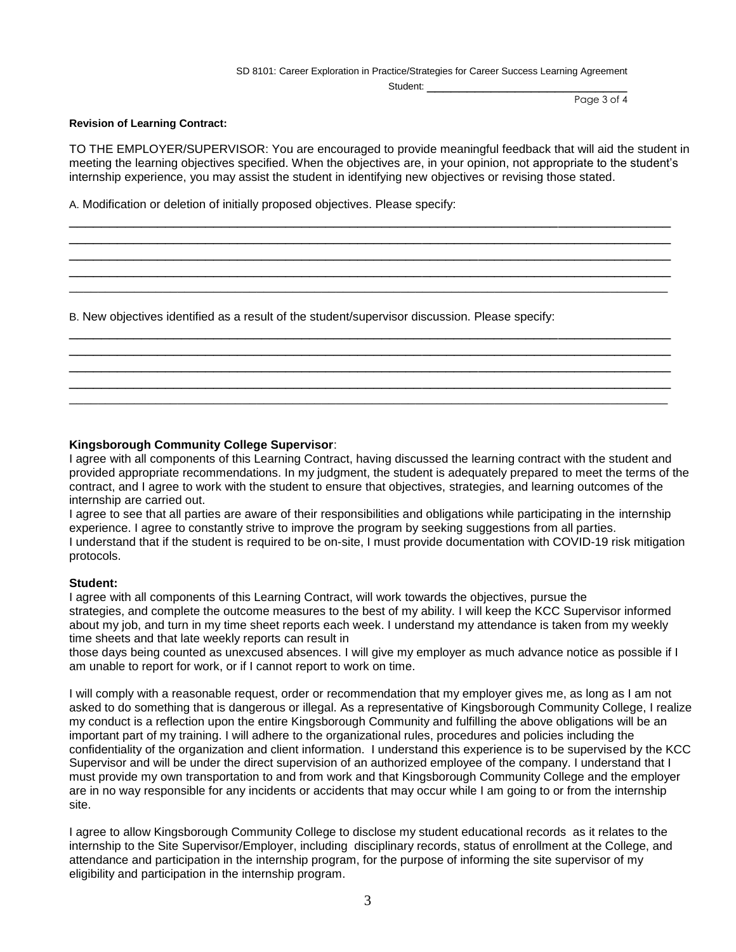SD 8101: Career Exploration in Practice/Strategies for Career Success Learning Agreement

Student:

Page 3 of 4

### **Revision of Learning Contract:**

TO THE EMPLOYER/SUPERVISOR: You are encouraged to provide meaningful feedback that will aid the student in meeting the learning objectives specified. When the objectives are, in your opinion, not appropriate to the student's internship experience, you may assist the student in identifying new objectives or revising those stated.

\_\_\_\_\_\_\_\_\_\_\_\_\_\_\_\_\_\_\_\_\_\_\_\_\_\_\_\_\_\_\_\_\_\_\_\_\_\_\_\_\_\_\_\_\_\_\_\_\_\_\_\_\_\_\_\_\_\_\_\_\_\_\_\_\_\_\_\_\_\_\_\_\_\_\_ \_\_\_\_\_\_\_\_\_\_\_\_\_\_\_\_\_\_\_\_\_\_\_\_\_\_\_\_\_\_\_\_\_\_\_\_\_\_\_\_\_\_\_\_\_\_\_\_\_\_\_\_\_\_\_\_\_\_\_\_\_\_\_\_\_\_\_\_\_\_\_\_\_\_\_ \_\_\_\_\_\_\_\_\_\_\_\_\_\_\_\_\_\_\_\_\_\_\_\_\_\_\_\_\_\_\_\_\_\_\_\_\_\_\_\_\_\_\_\_\_\_\_\_\_\_\_\_\_\_\_\_\_\_\_\_\_\_\_\_\_\_\_\_\_\_\_\_\_\_\_ \_\_\_\_\_\_\_\_\_\_\_\_\_\_\_\_\_\_\_\_\_\_\_\_\_\_\_\_\_\_\_\_\_\_\_\_\_\_\_\_\_\_\_\_\_\_\_\_\_\_\_\_\_\_\_\_\_\_\_\_\_\_\_\_\_\_\_\_\_\_\_\_\_\_\_ \_\_\_\_\_\_\_\_\_\_\_\_\_\_\_\_\_\_\_\_\_\_\_\_\_\_\_\_\_\_\_\_\_\_\_\_\_\_\_\_\_\_\_\_\_\_\_\_\_\_\_\_\_\_\_\_\_\_\_\_\_\_\_\_\_\_\_\_\_\_\_\_\_\_\_\_\_\_\_\_\_\_\_

\_\_\_\_\_\_\_\_\_\_\_\_\_\_\_\_\_\_\_\_\_\_\_\_\_\_\_\_\_\_\_\_\_\_\_\_\_\_\_\_\_\_\_\_\_\_\_\_\_\_\_\_\_\_\_\_\_\_\_\_\_\_\_\_\_\_\_\_\_\_\_\_\_\_\_ \_\_\_\_\_\_\_\_\_\_\_\_\_\_\_\_\_\_\_\_\_\_\_\_\_\_\_\_\_\_\_\_\_\_\_\_\_\_\_\_\_\_\_\_\_\_\_\_\_\_\_\_\_\_\_\_\_\_\_\_\_\_\_\_\_\_\_\_\_\_\_\_\_\_\_ \_\_\_\_\_\_\_\_\_\_\_\_\_\_\_\_\_\_\_\_\_\_\_\_\_\_\_\_\_\_\_\_\_\_\_\_\_\_\_\_\_\_\_\_\_\_\_\_\_\_\_\_\_\_\_\_\_\_\_\_\_\_\_\_\_\_\_\_\_\_\_\_\_\_\_ \_\_\_\_\_\_\_\_\_\_\_\_\_\_\_\_\_\_\_\_\_\_\_\_\_\_\_\_\_\_\_\_\_\_\_\_\_\_\_\_\_\_\_\_\_\_\_\_\_\_\_\_\_\_\_\_\_\_\_\_\_\_\_\_\_\_\_\_\_\_\_\_\_\_\_ \_\_\_\_\_\_\_\_\_\_\_\_\_\_\_\_\_\_\_\_\_\_\_\_\_\_\_\_\_\_\_\_\_\_\_\_\_\_\_\_\_\_\_\_\_\_\_\_\_\_\_\_\_\_\_\_\_\_\_\_\_\_\_\_\_\_\_\_\_\_\_\_\_\_\_\_\_\_\_\_\_\_\_

A. Modification or deletion of initially proposed objectives. Please specify:

B. New objectives identified as a result of the student/supervisor discussion. Please specify:

## **Kingsborough Community College Supervisor**:

I agree with all components of this Learning Contract, having discussed the learning contract with the student and provided appropriate recommendations. In my judgment, the student is adequately prepared to meet the terms of the contract, and I agree to work with the student to ensure that objectives, strategies, and learning outcomes of the internship are carried out.

I agree to see that all parties are aware of their responsibilities and obligations while participating in the internship experience. I agree to constantly strive to improve the program by seeking suggestions from all parties. I understand that if the student is required to be on-site, I must provide documentation with COVID-19 risk mitigation protocols.

### **Student:**

I agree with all components of this Learning Contract, will work towards the objectives, pursue the strategies, and complete the outcome measures to the best of my ability. I will keep the KCC Supervisor informed about my job, and turn in my time sheet reports each week. I understand my attendance is taken from my weekly time sheets and that late weekly reports can result in

those days being counted as unexcused absences. I will give my employer as much advance notice as possible if I am unable to report for work, or if I cannot report to work on time.

I will comply with a reasonable request, order or recommendation that my employer gives me, as long as I am not asked to do something that is dangerous or illegal. As a representative of Kingsborough Community College, I realize my conduct is a reflection upon the entire Kingsborough Community and fulfilling the above obligations will be an important part of my training. I will adhere to the organizational rules, procedures and policies including the confidentiality of the organization and client information. I understand this experience is to be supervised by the KCC Supervisor and will be under the direct supervision of an authorized employee of the company. I understand that I must provide my own transportation to and from work and that Kingsborough Community College and the employer are in no way responsible for any incidents or accidents that may occur while I am going to or from the internship site.

I agree to allow Kingsborough Community College to disclose my student educational records as it relates to the internship to the Site Supervisor/Employer, including disciplinary records, status of enrollment at the College, and attendance and participation in the internship program, for the purpose of informing the site supervisor of my eligibility and participation in the internship program.